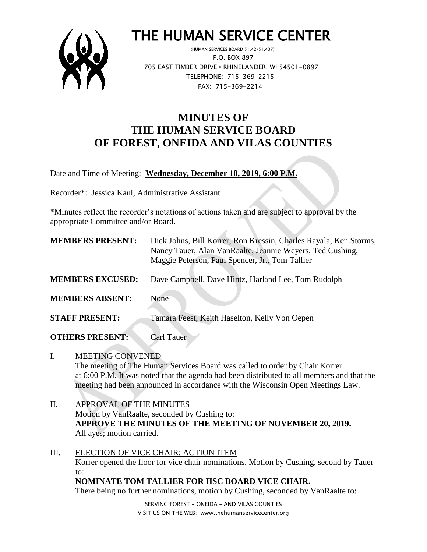

# THE HUMAN SERVICE CENTER

 (HUMAN SERVICES BOARD 51.42/51.437) P.O. BOX 897 705 EAST TIMBER DRIVE **•** RHINELANDER, WI 54501-0897 TELEPHONE: 715-369-2215 FAX: 715-369-2214

## **MINUTES OF THE HUMAN SERVICE BOARD OF FOREST, ONEIDA AND VILAS COUNTIES**

Date and Time of Meeting: **Wednesday, December 18, 2019, 6:00 P.M.**

Recorder\*: Jessica Kaul, Administrative Assistant

\*Minutes reflect the recorder's notations of actions taken and are subject to approval by the appropriate Committee and/or Board.

| <b>MEMBERS PRESENT:</b> | Dick Johns, Bill Korrer, Ron Kressin, Charles Rayala, Ken Storms,<br>Nancy Tauer, Alan VanRaalte, Jeannie Weyers, Ted Cushing,<br>Maggie Peterson, Paul Spencer, Jr., Tom Tallier |
|-------------------------|-----------------------------------------------------------------------------------------------------------------------------------------------------------------------------------|
| <b>MEMBERS EXCUSED:</b> | Dave Campbell, Dave Hintz, Harland Lee, Tom Rudolph                                                                                                                               |
| <b>MEMBERS ABSENT:</b>  | None                                                                                                                                                                              |
| <b>STAFF PRESENT:</b>   | Tamara Feest, Keith Haselton, Kelly Von Oepen                                                                                                                                     |
| <b>OTHERS PRESENT:</b>  | <b>Carl Tauer</b>                                                                                                                                                                 |

I. MEETING CONVENED The meeting of The Human Services Board was called to order by Chair Korrer at 6:00 P.M. It was noted that the agenda had been distributed to all members and that the meeting had been announced in accordance with the Wisconsin Open Meetings Law.

- II. APPROVAL OF THE MINUTES Motion by VanRaalte, seconded by Cushing to: **APPROVE THE MINUTES OF THE MEETING OF NOVEMBER 20, 2019.** All ayes; motion carried.
- III. ELECTION OF VICE CHAIR: ACTION ITEM Korrer opened the floor for vice chair nominations. Motion by Cushing, second by Tauer to: **NOMINATE TOM TALLIER FOR HSC BOARD VICE CHAIR.**

There being no further nominations, motion by Cushing, seconded by VanRaalte to:

SERVING FOREST – ONEIDA – AND VILAS COUNTIES VISIT US ON THE WEB: www.thehumanservicecenter.org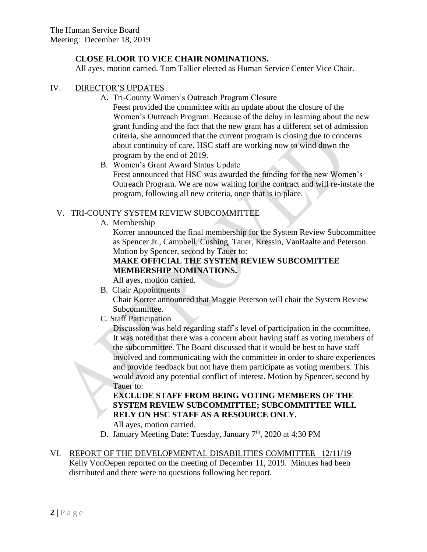## **CLOSE FLOOR TO VICE CHAIR NOMINATIONS.**

All ayes, motion carried. Tom Tallier elected as Human Service Center Vice Chair.

### IV. DIRECTOR'S UPDATES

A. Tri-County Women's Outreach Program Closure

Feest provided the committee with an update about the closure of the Women's Outreach Program. Because of the delay in learning about the new grant funding and the fact that the new grant has a different set of admission criteria, she announced that the current program is closing due to concerns about continuity of care. HSC staff are working now to wind down the program by the end of 2019.

B. Women's Grant Award Status Update Feest announced that HSC was awarded the funding for the new Women's Outreach Program. We are now waiting for the contract and will re-instate the program, following all new criteria, once that is in place.

## V. TRI-COUNTY SYSTEM REVIEW SUBCOMMITTEE

A. Membership

Korrer announced the final membership for the System Review Subcommittee as Spencer Jr., Campbell, Cushing, Tauer, Kressin, VanRaalte and Peterson. Motion by Spencer, second by Tauer to:

## **MAKE OFFICIAL THE SYSTEM REVIEW SUBCOMITTEE MEMBERSHIP NOMINATIONS.**

All ayes, motion carried.

B. Chair Appointments

Chair Korrer announced that Maggie Peterson will chair the System Review Subcommittee.

C. Staff Participation

Discussion was held regarding staff's level of participation in the committee. It was noted that there was a concern about having staff as voting members of the subcommittee. The Board discussed that it would be best to have staff involved and communicating with the committee in order to share experiences and provide feedback but not have them participate as voting members. This would avoid any potential conflict of interest. Motion by Spencer, second by Tauer to:

## **EXCLUDE STAFF FROM BEING VOTING MEMBERS OF THE SYSTEM REVIEW SUBCOMMITTEE; SUBCOMMITTEE WILL RELY ON HSC STAFF AS A RESOURCE ONLY.**

All ayes, motion carried.

D. January Meeting Date: Tuesday, January  $7<sup>th</sup>$ , 2020 at 4:30 PM

#### VI. REPORT OF THE DEVELOPMENTAL DISABILITIES COMMITTEE –12/11/19 Kelly VonOepen reported on the meeting of December 11, 2019. Minutes had been distributed and there were no questions following her report.